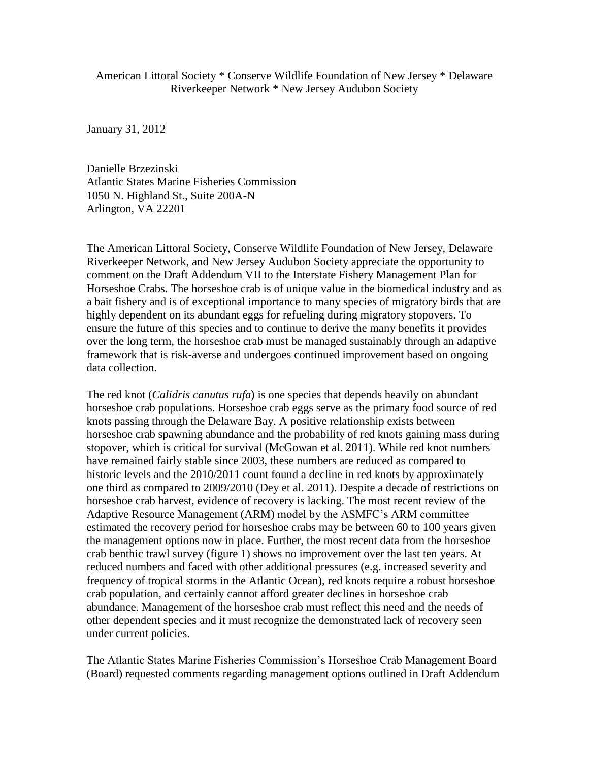American Littoral Society \* Conserve Wildlife Foundation of New Jersey \* Delaware Riverkeeper Network \* New Jersey Audubon Society

January 31, 2012

Danielle Brzezinski Atlantic States Marine Fisheries Commission 1050 N. Highland St., Suite 200A-N Arlington, VA 22201

The American Littoral Society, Conserve Wildlife Foundation of New Jersey, Delaware Riverkeeper Network, and New Jersey Audubon Society appreciate the opportunity to comment on the Draft Addendum VII to the Interstate Fishery Management Plan for Horseshoe Crabs. The horseshoe crab is of unique value in the biomedical industry and as a bait fishery and is of exceptional importance to many species of migratory birds that are highly dependent on its abundant eggs for refueling during migratory stopovers. To ensure the future of this species and to continue to derive the many benefits it provides over the long term, the horseshoe crab must be managed sustainably through an adaptive framework that is risk-averse and undergoes continued improvement based on ongoing data collection.

The red knot (*Calidris canutus rufa*) is one species that depends heavily on abundant horseshoe crab populations. Horseshoe crab eggs serve as the primary food source of red knots passing through the Delaware Bay. A positive relationship exists between horseshoe crab spawning abundance and the probability of red knots gaining mass during stopover, which is critical for survival (McGowan et al. 2011). While red knot numbers have remained fairly stable since 2003, these numbers are reduced as compared to historic levels and the 2010/2011 count found a decline in red knots by approximately one third as compared to 2009/2010 (Dey et al. 2011). Despite a decade of restrictions on horseshoe crab harvest, evidence of recovery is lacking. The most recent review of the Adaptive Resource Management (ARM) model by the ASMFC's ARM committee estimated the recovery period for horseshoe crabs may be between 60 to 100 years given the management options now in place. Further, the most recent data from the horseshoe crab benthic trawl survey (figure 1) shows no improvement over the last ten years. At reduced numbers and faced with other additional pressures (e.g. increased severity and frequency of tropical storms in the Atlantic Ocean), red knots require a robust horseshoe crab population, and certainly cannot afford greater declines in horseshoe crab abundance. Management of the horseshoe crab must reflect this need and the needs of other dependent species and it must recognize the demonstrated lack of recovery seen under current policies.

The Atlantic States Marine Fisheries Commission's Horseshoe Crab Management Board (Board) requested comments regarding management options outlined in Draft Addendum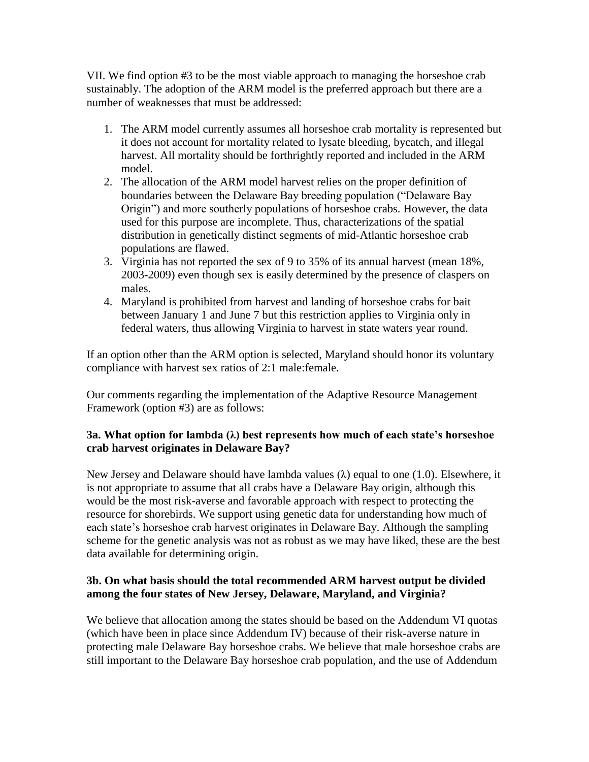VII. We find option #3 to be the most viable approach to managing the horseshoe crab sustainably. The adoption of the ARM model is the preferred approach but there are a number of weaknesses that must be addressed:

- 1. The ARM model currently assumes all horseshoe crab mortality is represented but it does not account for mortality related to lysate bleeding, bycatch, and illegal harvest. All mortality should be forthrightly reported and included in the ARM model.
- 2. The allocation of the ARM model harvest relies on the proper definition of boundaries between the Delaware Bay breeding population ("Delaware Bay Origin") and more southerly populations of horseshoe crabs. However, the data used for this purpose are incomplete. Thus, characterizations of the spatial distribution in genetically distinct segments of mid-Atlantic horseshoe crab populations are flawed.
- 3. Virginia has not reported the sex of 9 to 35% of its annual harvest (mean 18%, 2003-2009) even though sex is easily determined by the presence of claspers on males.
- 4. Maryland is prohibited from harvest and landing of horseshoe crabs for bait between January 1 and June 7 but this restriction applies to Virginia only in federal waters, thus allowing Virginia to harvest in state waters year round.

If an option other than the ARM option is selected, Maryland should honor its voluntary compliance with harvest sex ratios of 2:1 male:female.

Our comments regarding the implementation of the Adaptive Resource Management Framework (option #3) are as follows:

# **3a. What option for lambda (λ) best represents how much of each state's horseshoe crab harvest originates in Delaware Bay?**

New Jersey and Delaware should have lambda values  $(\lambda)$  equal to one (1.0). Elsewhere, it is not appropriate to assume that all crabs have a Delaware Bay origin, although this would be the most risk-averse and favorable approach with respect to protecting the resource for shorebirds. We support using genetic data for understanding how much of each state's horseshoe crab harvest originates in Delaware Bay. Although the sampling scheme for the genetic analysis was not as robust as we may have liked, these are the best data available for determining origin.

# **3b. On what basis should the total recommended ARM harvest output be divided among the four states of New Jersey, Delaware, Maryland, and Virginia?**

We believe that allocation among the states should be based on the Addendum VI quotas (which have been in place since Addendum IV) because of their risk-averse nature in protecting male Delaware Bay horseshoe crabs. We believe that male horseshoe crabs are still important to the Delaware Bay horseshoe crab population, and the use of Addendum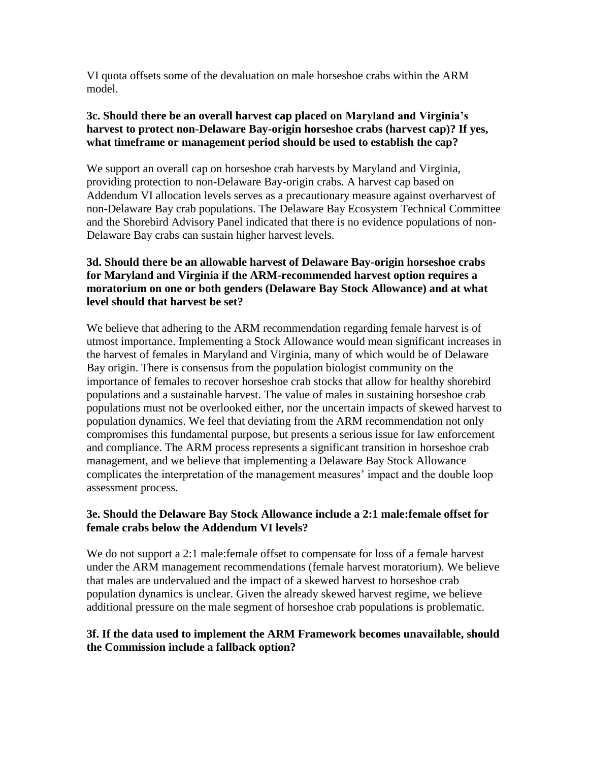VI quota offsets some of the devaluation on male horseshoe crabs within the ARM model.

### **3c. Should there be an overall harvest cap placed on Maryland and Virginia's harvest to protect non-Delaware Bay-origin horseshoe crabs (harvest cap)? If yes, what timeframe or management period should be used to establish the cap?**

We support an overall cap on horseshoe crab harvests by Maryland and Virginia, providing protection to non-Delaware Bay-origin crabs. A harvest cap based on Addendum VI allocation levels serves as a precautionary measure against overharvest of non-Delaware Bay crab populations. The Delaware Bay Ecosystem Technical Committee and the Shorebird Advisory Panel indicated that there is no evidence populations of non-Delaware Bay crabs can sustain higher harvest levels.

# **3d. Should there be an allowable harvest of Delaware Bay-origin horseshoe crabs for Maryland and Virginia if the ARM-recommended harvest option requires a moratorium on one or both genders (Delaware Bay Stock Allowance) and at what level should that harvest be set?**

We believe that adhering to the ARM recommendation regarding female harvest is of utmost importance. Implementing a Stock Allowance would mean significant increases in the harvest of females in Maryland and Virginia, many of which would be of Delaware Bay origin. There is consensus from the population biologist community on the importance of females to recover horseshoe crab stocks that allow for healthy shorebird populations and a sustainable harvest. The value of males in sustaining horseshoe crab populations must not be overlooked either, nor the uncertain impacts of skewed harvest to population dynamics. We feel that deviating from the ARM recommendation not only compromises this fundamental purpose, but presents a serious issue for law enforcement and compliance. The ARM process represents a significant transition in horseshoe crab management, and we believe that implementing a Delaware Bay Stock Allowance complicates the interpretation of the management measures' impact and the double loop assessment process.

# **3e. Should the Delaware Bay Stock Allowance include a 2:1 male:female offset for female crabs below the Addendum VI levels?**

We do not support a 2:1 male:female offset to compensate for loss of a female harvest under the ARM management recommendations (female harvest moratorium). We believe that males are undervalued and the impact of a skewed harvest to horseshoe crab population dynamics is unclear. Given the already skewed harvest regime, we believe additional pressure on the male segment of horseshoe crab populations is problematic.

#### **3f. If the data used to implement the ARM Framework becomes unavailable, should the Commission include a fallback option?**